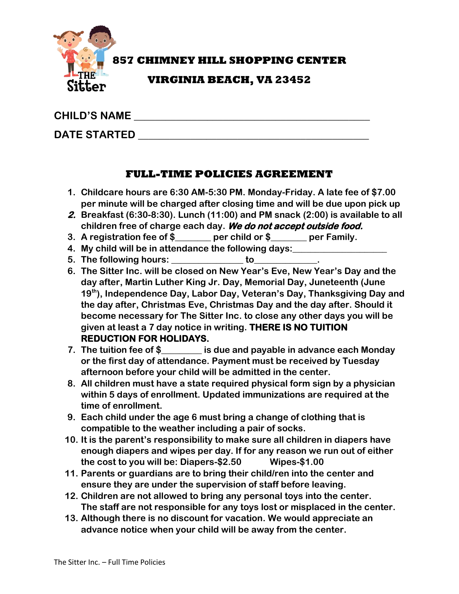

**857 CHIMNEY HILL SHOPPING CENTER**

## **VIRGINIA BEACH, VA 23452**

## **CHILD'S NAME \_\_\_\_\_\_\_\_\_\_\_\_\_\_\_\_\_\_\_\_\_\_\_\_\_\_\_\_\_\_\_\_\_\_\_\_\_\_\_\_\_\_\_\_\_**

# **DATE STARTED**   $\blacksquare$

### **FULL-TIME POLICIES AGREEMENT**

- **1. Childcare hours are 6:30 AM-5:30 PM. Monday-Friday. A late fee of \$7.00 per minute will be charged after closing time and will be due upon pick up**
- **2. Breakfast (6:30-8:30). Lunch (11:00) and PM snack (2:00) is available to all children free of charge each day. We do not accept outside food.**
- **3. A registration fee of \$\_\_\_\_\_\_\_\_ per child or \$\_\_\_\_\_\_\_\_ per Family.**
- **4. My child will be in attendance the following days:\_\_\_\_\_\_\_\_\_\_\_\_\_\_\_\_\_\_\_\_\_**
- **5. The following hours: \_\_\_\_\_\_\_\_\_\_\_\_\_\_\_\_ to\_\_\_\_\_\_\_\_\_\_\_\_\_\_.**
- **6. The Sitter Inc. will be closed on New Year's Eve, New Year's Day and the day after, Martin Luther King Jr. Day, Memorial Day, Juneteenth (June 19th), Independence Day, Labor Day, Veteran's Day, Thanksgiving Day and the day after, Christmas Eve, Christmas Day and the day after. Should it become necessary for The Sitter Inc. to close any other days you will be given at least a 7 day notice in writing. THERE IS NO TUITION REDUCTION FOR HOLIDAYS.**
- **7. The tuition fee of \$\_\_\_\_\_\_\_\_\_ is due and payable in advance each Monday or the first day of attendance. Payment must be received by Tuesday afternoon before your child will be admitted in the center.**
- **8. All children must have a state required physical form sign by a physician within 5 days of enrollment. Updated immunizations are required at the time of enrollment.**
- **9. Each child under the age 6 must bring a change of clothing that is compatible to the weather including a pair of socks.**
- **10. It is the parent's responsibility to make sure all children in diapers have enough diapers and wipes per day. If for any reason we run out of either the cost to you will be: Diapers-\$2.50 Wipes-\$1.00**
- **11. Parents or guardians are to bring their child/ren into the center and ensure they are under the supervision of staff before leaving.**
- **12. Children are not allowed to bring any personal toys into the center. The staff are not responsible for any toys lost or misplaced in the center.**
- **13. Although there is no discount for vacation. We would appreciate an advance notice when your child will be away from the center.**